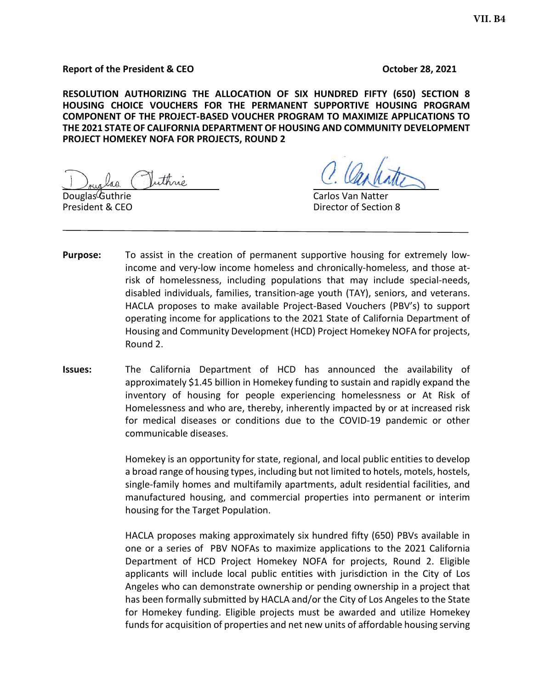#### **Report of the President & CEO CEO CEO October 28, 2021**

**RESOLUTION AUTHORIZING THE ALLOCATION OF SIX HUNDRED FIFTY (650) SECTION 8 HOUSING CHOICE VOUCHERS FOR THE PERMANENT SUPPORTIVE HOUSING PROGRAM COMPONENT OF THE PROJECT-BASED VOUCHER PROGRAM TO MAXIMIZE APPLICATIONS TO THE 2021 STATE OF CALIFORNIA DEPARTMENT OF HOUSING AND COMMUNITY DEVELOPMENT PROJECT HOMEKEY NOFA FOR PROJECTS, ROUND 2**

uthnò

Douglas Guthrie Carlos Van Natter President & CEO **Director of Section 8** 

- **Purpose:** To assist in the creation of permanent supportive housing for extremely lowincome and very-low income homeless and chronically-homeless, and those atrisk of homelessness, including populations that may include special-needs, disabled individuals, families, transition-age youth (TAY), seniors, and veterans. HACLA proposes to make available Project-Based Vouchers (PBV's) to support operating income for applications to the 2021 State of California Department of Housing and Community Development (HCD) Project Homekey NOFA for projects, Round 2.
- **Issues:** The California Department of HCD has announced the availability of approximately \$1.45 billion in Homekey funding to sustain and rapidly expand the inventory of housing for people experiencing homelessness or At Risk of Homelessness and who are, thereby, inherently impacted by or at increased risk for medical diseases or conditions due to the COVID-19 pandemic or other communicable diseases.

Homekey is an opportunity for state, regional, and local public entities to develop a broad range of housing types, including but not limited to hotels, motels, hostels, single-family homes and multifamily apartments, adult residential facilities, and manufactured housing, and commercial properties into permanent or interim housing for the Target Population.

HACLA proposes making approximately six hundred fifty (650) PBVs available in one or a series of PBV NOFAs to maximize applications to the 2021 California Department of HCD Project Homekey NOFA for projects, Round 2. Eligible applicants will include local public entities with jurisdiction in the City of Los Angeles who can demonstrate ownership or pending ownership in a project that has been formally submitted by HACLA and/or the City of Los Angeles to the State for Homekey funding. Eligible projects must be awarded and utilize Homekey funds for acquisition of properties and net new units of affordable housing serving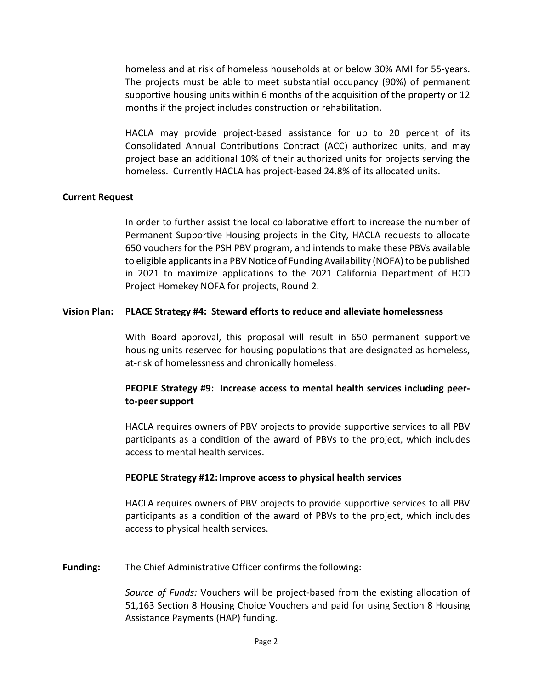homeless and at risk of homeless households at or below 30% AMI for 55-years. The projects must be able to meet substantial occupancy (90%) of permanent supportive housing units within 6 months of the acquisition of the property or 12 months if the project includes construction or rehabilitation.

HACLA may provide project-based assistance for up to 20 percent of its Consolidated Annual Contributions Contract (ACC) authorized units, and may project base an additional 10% of their authorized units for projects serving the homeless. Currently HACLA has project-based 24.8% of its allocated units.

## **Current Request**

In order to further assist the local collaborative effort to increase the number of Permanent Supportive Housing projects in the City, HACLA requests to allocate 650 vouchers for the PSH PBV program, and intends to make these PBVs available to eligible applicants in a PBV Notice of Funding Availability (NOFA) to be published in 2021 to maximize applications to the 2021 California Department of HCD Project Homekey NOFA for projects, Round 2.

## **Vision Plan: PLACE Strategy #4: Steward efforts to reduce and alleviate homelessness**

With Board approval, this proposal will result in 650 permanent supportive housing units reserved for housing populations that are designated as homeless, at-risk of homelessness and chronically homeless.

# **PEOPLE Strategy #9: Increase access to mental health services including peerto-peer support**

HACLA requires owners of PBV projects to provide supportive services to all PBV participants as a condition of the award of PBVs to the project, which includes access to mental health services.

### **PEOPLE Strategy #12: Improve access to physical health services**

HACLA requires owners of PBV projects to provide supportive services to all PBV participants as a condition of the award of PBVs to the project, which includes access to physical health services.

**Funding:** The Chief Administrative Officer confirms the following:

*Source of Funds:* Vouchers will be project-based from the existing allocation of 51,163 Section 8 Housing Choice Vouchers and paid for using Section 8 Housing Assistance Payments (HAP) funding.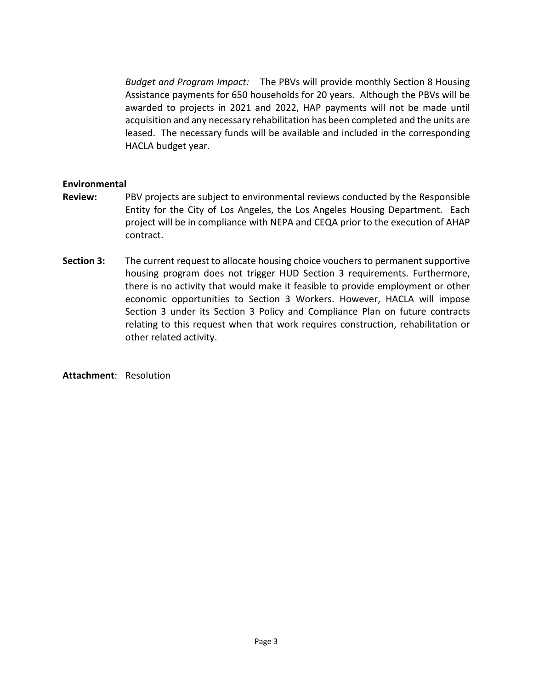*Budget and Program Impact:* The PBVs will provide monthly Section 8 Housing Assistance payments for 650 households for 20 years. Although the PBVs will be awarded to projects in 2021 and 2022, HAP payments will not be made until acquisition and any necessary rehabilitation has been completed and the units are leased. The necessary funds will be available and included in the corresponding HACLA budget year.

# **Environmental**

- **Review:** PBV projects are subject to environmental reviews conducted by the Responsible Entity for the City of Los Angeles, the Los Angeles Housing Department. Each project will be in compliance with NEPA and CEQA prior to the execution of AHAP contract.
- **Section 3:** The current request to allocate housing choice vouchers to permanent supportive housing program does not trigger HUD Section 3 requirements. Furthermore, there is no activity that would make it feasible to provide employment or other economic opportunities to Section 3 Workers. However, HACLA will impose Section 3 under its Section 3 Policy and Compliance Plan on future contracts relating to this request when that work requires construction, rehabilitation or other related activity.

**Attachment**: Resolution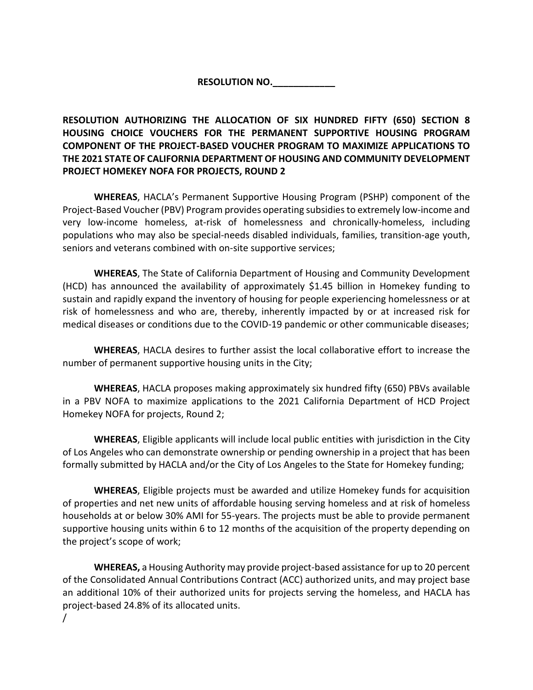**RESOLUTION NO.\_\_\_\_\_\_\_\_\_\_\_\_**

**RESOLUTION AUTHORIZING THE ALLOCATION OF SIX HUNDRED FIFTY (650) SECTION 8 HOUSING CHOICE VOUCHERS FOR THE PERMANENT SUPPORTIVE HOUSING PROGRAM COMPONENT OF THE PROJECT-BASED VOUCHER PROGRAM TO MAXIMIZE APPLICATIONS TO THE 2021 STATE OF CALIFORNIA DEPARTMENT OF HOUSING AND COMMUNITY DEVELOPMENT PROJECT HOMEKEY NOFA FOR PROJECTS, ROUND 2**

**WHEREAS**, HACLA's Permanent Supportive Housing Program (PSHP) component of the Project-Based Voucher (PBV) Program provides operating subsidies to extremely low-income and very low-income homeless, at-risk of homelessness and chronically-homeless, including populations who may also be special-needs disabled individuals, families, transition-age youth, seniors and veterans combined with on-site supportive services;

**WHEREAS**, The State of California Department of Housing and Community Development (HCD) has announced the availability of approximately \$1.45 billion in Homekey funding to sustain and rapidly expand the inventory of housing for people experiencing homelessness or at risk of homelessness and who are, thereby, inherently impacted by or at increased risk for medical diseases or conditions due to the COVID-19 pandemic or other communicable diseases;

**WHEREAS**, HACLA desires to further assist the local collaborative effort to increase the number of permanent supportive housing units in the City;

**WHEREAS**, HACLA proposes making approximately six hundred fifty (650) PBVs available in a PBV NOFA to maximize applications to the 2021 California Department of HCD Project Homekey NOFA for projects, Round 2;

**WHEREAS**, Eligible applicants will include local public entities with jurisdiction in the City of Los Angeles who can demonstrate ownership or pending ownership in a project that has been formally submitted by HACLA and/or the City of Los Angeles to the State for Homekey funding;

**WHEREAS**, Eligible projects must be awarded and utilize Homekey funds for acquisition of properties and net new units of affordable housing serving homeless and at risk of homeless households at or below 30% AMI for 55-years. The projects must be able to provide permanent supportive housing units within 6 to 12 months of the acquisition of the property depending on the project's scope of work;

**WHEREAS,** a Housing Authority may provide project-based assistance for up to 20 percent of the Consolidated Annual Contributions Contract (ACC) authorized units, and may project base an additional 10% of their authorized units for projects serving the homeless, and HACLA has project-based 24.8% of its allocated units. /